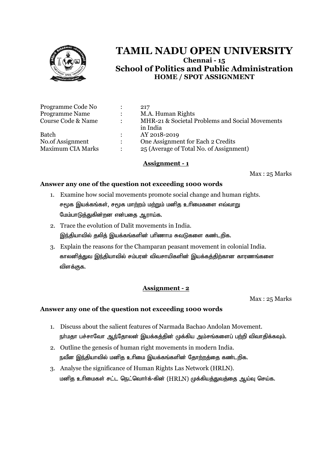

|           | 217                                             |
|-----------|-------------------------------------------------|
|           | M.A. Human Rights                               |
| $\bullet$ | MHR-21 & Societal Problems and Social Movements |
|           | in India                                        |
|           | AY 2018-2019                                    |
|           | One Assignment for Each 2 Credits               |
|           | 25 (Average of Total No. of Assignment)         |
|           |                                                 |

# **Assignment - 1**

Max : 25 Marks

### **Answer any one of the question not exceeding 1000 words**

- 1. Examine how social movements promote social change and human rights. சமூக இயக்கங்கள், சமூக மாற்றம் மற்றும் மனித உரிமைகளை எவ்வாறு மேம்பாடுத்துகின்றன என்பதை ஆராய்க.
- 2. Trace the evolution of Dalit movements in India. இந்தியாவில் தலித் இயக்கங்களின் பரிணாம சுவடுகளை கண்டறிக.
- 3. Explain the reasons for the Champaran peasant movement in colonial India. காலனித்துவ இந்தியாவில் சம்பரன் விவசாயிகளின் இயக்கத்திற்கான காரணங்களை விளக்குக.

# **Assignment - 2**

Max : 25 Marks

- 1. Discuss about the salient features of Narmada Bachao Andolan Movement. நா்மதா பச்சாவோ ஆந்தோலன் இயக்கத்தின் முக்கிய அம்சங்களைப் பற்றி விவாதிக்கவும்.
- 2. Outline the genesis of human right movements in modern India. நவீன இந்தியாவில் மனித உரிமை இயக்கங்களின் தோற்றத்தை கண்டறிக.
- 3. Analyse the significance of Human Rights Las Network (HRLN). மனித உரிமைகள் சட்ட நெட்வொர்க்-கின் (HRLN) முக்கியத்துவத்தை ஆய்வு செய்க.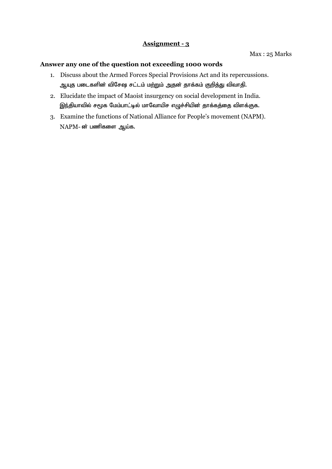- 1. Discuss about the Armed Forces Special Provisions Act and its repercussions. ஆயுத படைகளின் விசேஷ சட்டம் மற்றும் அதன் தாக்கம் குறித்து விவாதி.
- 2. Elucidate the impact of Maoist insurgency on social development in India. இந்தியாவில் சமூக மேம்பாட்டில் மாவோயிச எழுச்சியின் தாக்கத்தை விளக்குக.
- 3. Examine the functions of National Alliance for People's movement (NAPM).  $NAPM$ - ன் பணிகளை ஆய்க.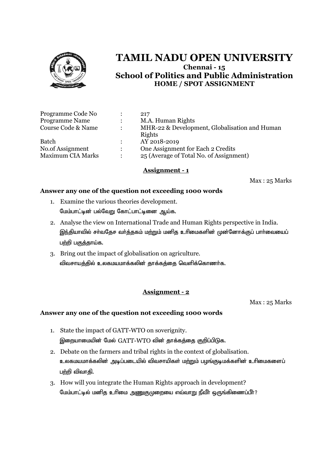

| Programme Code No        |                      | 217                                           |
|--------------------------|----------------------|-----------------------------------------------|
| <b>Programme Name</b>    | $\ddot{\phantom{a}}$ | M.A. Human Rights                             |
| Course Code & Name       | $\ddot{\phantom{a}}$ | MHR-22 & Development, Globalisation and Human |
|                          |                      | Rights                                        |
| <b>Batch</b>             | $\ddot{\phantom{a}}$ | AY 2018-2019                                  |
| No.of Assignment         |                      | One Assignment for Each 2 Credits             |
| <b>Maximum CIA Marks</b> | ٠                    | 25 (Average of Total No. of Assignment)       |

## **Assignment - 1**

Max : 25 Marks

### **Answer any one of the question not exceeding 1000 words**

- 1. Examine the various theories development. மேம்பாட்டின் பல்வேறு கோட்பாட்டினை ஆய்க.
- 2. Analyse the view on International Trade and Human Rights perspective in India. இந்தியாவில் சா்வதேச வா்த்தகம் மற்றும் மனித உாிமைகளின் முன்னோக்குப் பாா்வையைப் பற்றி பகுத்தாய்க.
- 3. Bring out the impact of globalisation on agriculture. விவசாயத்தில் உலகமயமாக்கலின் தாக்கத்தை வெளிக்கொணர்க.

# **Assignment - 2**

Max : 25 Marks

- 1. State the impact of GATT-WTO on soverignity. இறையாமையின் மேல்  $GATT-WTO$  வின் தாக்கத்தை குறிப்பிடுக.
- 2. Debate on the farmers and tribal rights in the context of globalisation. உலகமயமாக்கலின் அடிப்படையில் விவசாயிகள் மற்றும் பழங்குடிமக்களின் உரிமைகளைப் பற்றி விவாதி.
- 3. How will you integrate the Human Rights approach in development? மேம்பாட்டில் மனித உரிமை அணுகுமுறையை எவ்வாறு நீவீர் ஒருங்கிணைப்பீர்?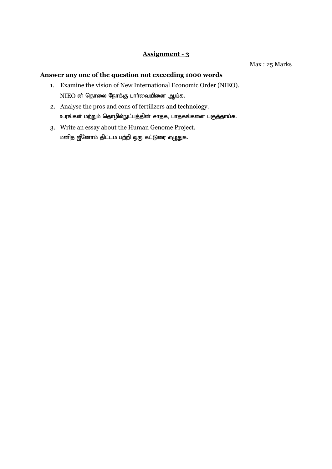#### Max : 25 Marks

- 1. Examine the vision of New International Economic Order (NIEO). NIEO ன் தொலை நோக்கு பார்வையினை ஆய்க.
- 2. Analyse the pros and cons of fertilizers and technology. உரங்கள் மற்றும் தொழில்நுட்பத்தின் சாதக, பாதகங்களை பகுத்தாய்க.
- 3. Write an essay about the Human Genome Project. மனித ஜீனோம் திட்டம பற்றி ஒரு கட்டுரை எழுதுக.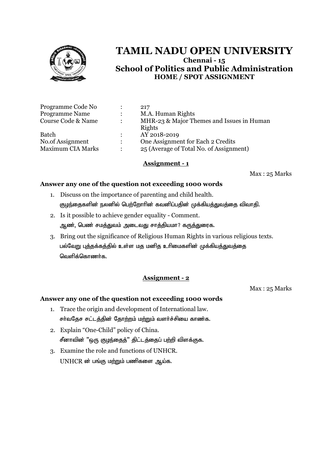

| MHR-23 & Major Themes and Issues in Human |
|-------------------------------------------|
|                                           |
|                                           |
|                                           |
| 25 (Average of Total No. of Assignment)   |
|                                           |

## **Assignment - 1**

Max : 25 Marks

### **Answer any one of the question not exceeding 1000 words**

- 1. Discuss on the importance of parenting and child health. குழந்தைகளின் நலனில் பெற்றோரின் கவனிப்பதின் முக்கியத்துவத்தை விவாதி.
- 2. Is it possible to achieve gender equality Comment. ஆண், பெண் சமத்துவம் அடைவது சாத்தியமா? கருத்துரைக.
- 3. Bring out the significance of Religious Human Rights in various religious texts. பல்வேறு புத்தக்கத்தில் உள்ள மத மனித உரிமைகளின் முக்கியத்துவத்தை வெளிக்கொணர்க,

# **Assignment - 2**

Max : 25 Marks

- 1. Trace the origin and development of International law. சர்வதேச சட்டத்தின் தோற்றம் மற்றும் வளர்ச்சியை காண்க.
- 2. Explain "One-Child" policy of China. சீனாவின் "ஒரு குழந்தைத்" திட்டத்தைப் பற்றி விளக்குக.
- 3. Examine the role and functions of UNHCR.  $UNHCR$  ன் பங்கு மற்றும் பணிகளை ஆய்க.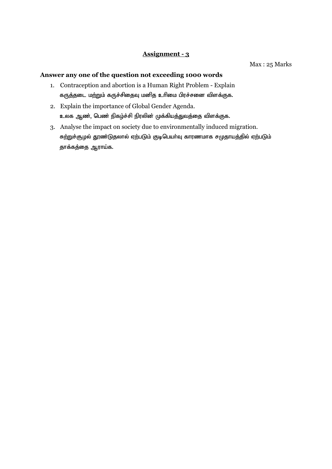Max : 25 Marks

- 1. Contraception and abortion is a Human Right Problem Explain கருத்தடை மற்றும் கருச்சிதைவு மனித உரிமை பிரச்சனை விளக்குக.
- 2. Explain the importance of Global Gender Agenda. உலக ஆண், பெண் நிகழ்ச்சி நிரலின் முக்கியத்துவத்தை விளக்குக.
- 3. Analyse the impact on society due to environmentally induced migration. சுற்றுச்சூழல் தூண்டுதலால் ஏற்படும் குடிபெயர்வு காரணமாக சமுதாயத்தில் ஏற்படும் தாக்கத்தை ஆராய்க.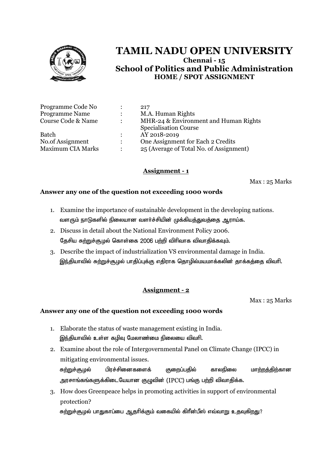

|                      | 217                                     |
|----------------------|-----------------------------------------|
| $\ddot{\phantom{0}}$ | M.A. Human Rights                       |
| $\ddot{\phantom{a}}$ | MHR-24 & Environment and Human Rights   |
|                      | <b>Specialisation Course</b>            |
|                      | AY 2018-2019                            |
| $\ddot{\cdot}$       | One Assignment for Each 2 Credits       |
| ٠                    | 25 (Average of Total No. of Assignment) |
|                      |                                         |

# **Assignment - 1**

Max : 25 Marks

# **Answer any one of the question not exceeding 1000 words**

- 1. Examine the importance of sustainable development in the developing nations. வளரும் நாடுகளில் நிலையான வளர்ச்சியின் முக்கியத்துவத்தை ஆராய்க.
- 2. Discuss in detail about the National Environment Policy 2006. தேசிய சுற்றுச்சூழல் கொள்கை 2006 பற்றி விரிவாக விவாதிக்கவும்.
- 3. Describe the impact of industrialization VS environmental damage in India. இந்தியாவில் சுற்றுச்சூழல் பாதிப்புக்கு எதிராக தொழில்மயமாக்கலின் தாக்கத்தை விவரி.

# **Assignment - 2**

Max : 25 Marks

- 1. Elaborate the status of waste management existing in India. இந்தியாவில் உள்ள கழிவு மேலாண்மை நிலையை விவரி.
- 2. Examine about the role of Intergovernmental Panel on Climate Change (IPCC) in mitigating environmental issues. சு<u>ற்று</u>ச்சூழல் பிரச்சினைகளைக் குறைப்பதில் காலநிலை மா<u>ற்றத்திற்</u>கான அரசாங்கங்களுக்கிடையேயான குழுவின் (IPCC) பங்கு பற்றி விவாதிக்க.
- 3. How does Greenpeace helps in promoting activities in support of environmental protection? சுற்றுச்சூழல் பாதுகாப்பை ஆதரிக்கும் வகையில் கிரீன்பீஸ் எவ்வாறு உதவுக<u>ிறத</u>ு?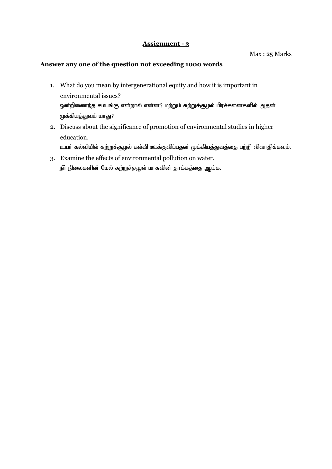Max : 25 Marks

- 1. What do you mean by intergenerational equity and how it is important in environmental issues? ஒன்றிணைந்த சமபங்கு என்றால் என்ன? மற்றும் சுற்றுச்சூழல் பிரச்சனைகளில் அதன் முக்கியத்துவம் யாது?
- 2. Discuss about the significance of promotion of environmental studies in higher education. உயர் கல்வியில் சுற்றுச்சூழல் கல்வி ஊக்குவிப்பதன் முக்கியத்துவத்தை பற்றி விவாதிக்கவும்.
- 3. Examine the effects of environmental pollution on water. நீா் நிலைகளின் மேல் சுற்றுச்சூழல் மாசுவின் தாக்கத்தை ஆய்க.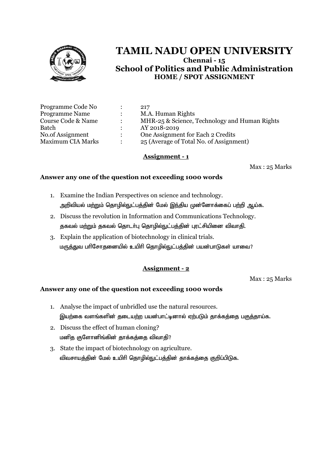

| Programme Code No        | ٠                    | 217                                           |
|--------------------------|----------------------|-----------------------------------------------|
| <b>Programme Name</b>    | $\bullet$            | M.A. Human Rights                             |
| Course Code & Name       | $\ddot{\cdot}$       | MHR-25 & Science, Technology and Human Rights |
| Batch                    |                      | AY 2018-2019                                  |
| No.of Assignment         | $\mathbf{L}$         | One Assignment for Each 2 Credits             |
| <b>Maximum CIA Marks</b> | $\ddot{\phantom{a}}$ | 25 (Average of Total No. of Assignment)       |

### **Assignment - 1**

Max : 25 Marks

## **Answer any one of the question not exceeding 1000 words**

- 1. Examine the Indian Perspectives on science and technology. அறிவியல் மற்றும் தொழில்நுட்பத்தின் மேல் இந்திய முன்னோக்கைப் பற்றி ஆய்க.
- 2. Discuss the revolution in Information and Communications Technology. தகவல் மற்றும் தகவல் தொடர்பு தொழில்நுட்பத்தின் புரட்சியினை விவாதி.
- 3. Explain the application of biotechnology in clinical trials. மருத்துவ பரிசோதனையில் உயிரி தொழில்நுட்பத்தின் பயன்பாடுகள் யாவை?

# **Assignment - 2**

Max : 25 Marks

- 1. Analyse the impact of unbridled use the natural resources. இயற்கை வளங்களின் தடையற்ற பயன்பாட்டினால் ஏற்படும் தாக்கக்கை பகுத்தாய்க.
- 2. Discuss the effect of human cloning? மனித குளோனிங்கின் தாக்கத்தை விவாதி?
- 3. State the impact of biotechnology on agriculture. விவசாயத்தின் மேல் உயிரி தொழில்நுட்பத்தின் தாக்கத்தை குறிப்பிடுக.